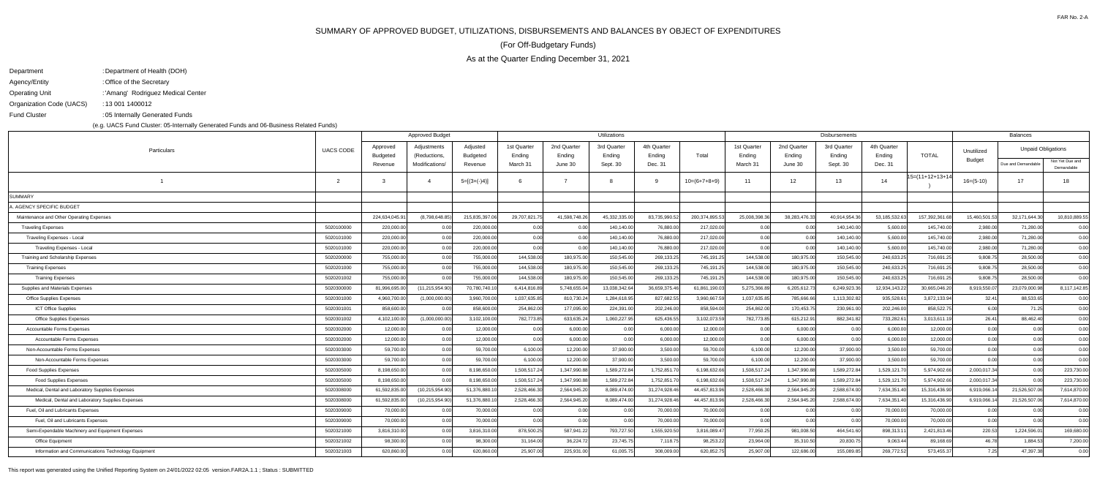## SUMMARY OF APPROVED BUDGET, UTILIZATIONS, DISBURSEMENTS AND BALANCES BY OBJECT OF EXPENDITURES

As at the Quarter Ending December 31, 2021

(For Off-Budgetary Funds)

| Department               | : Department of Health (DOH)       |
|--------------------------|------------------------------------|
| Agency/Entity            | : Office of the Secretary          |
| <b>Operating Unit</b>    | : 'Amang' Rodriguez Medical Center |
| Organization Code (UACS) | : 13 001 1400012                   |
| <b>Fund Cluster</b>      | :05 Internally Generated Funds     |

(e.g. UACS Fund Cluster: 05-Internally Generated Funds and 06-Business Related Funds)

|                                                     |                  |                      | <b>Approved Budget</b>      |                      |                       |                       | Utilizations          |                       |                | Disbursements         | <b>Balances</b>       |                       |                       |                    |               |                           |                               |
|-----------------------------------------------------|------------------|----------------------|-----------------------------|----------------------|-----------------------|-----------------------|-----------------------|-----------------------|----------------|-----------------------|-----------------------|-----------------------|-----------------------|--------------------|---------------|---------------------------|-------------------------------|
| Particulars                                         | <b>UACS CODE</b> | Approved<br>Budgeted | Adjustments<br>(Reductions, | Adjusted<br>Budgeted | 1st Quarter<br>Ending | 2nd Quarter<br>Ending | 3rd Quarter<br>Ending | 4th Quarter<br>Ending | Total          | 1st Quarter<br>Ending | 2nd Quarter<br>Ending | 3rd Quarter<br>Ending | 4th Quarter<br>Ending | <b>TOTAL</b>       | Unutilized    | <b>Unpaid Obligations</b> |                               |
|                                                     |                  | Revenue              | Modifications/              | Revenue              | March 31              | June 30               | Sept. 30              | Dec. 31               |                | March 31              | June 30               | Sept. 30              | Dec. 31               |                    | <b>Budget</b> | Due and Demandable        | Not Yet Due and<br>Demandable |
|                                                     | $\overline{2}$   | 3                    | $\overline{4}$              | $5=[(3+(-)4)]$       | 6                     | $\overline{z}$        |                       | <b>Q</b>              | $10=(6+7+8+9)$ | 11                    | 12                    | 13                    | 14                    | $15=(11+12+13+14)$ | $16=(5-10)$   | 17                        | 18                            |
| <b>SUMMARY</b>                                      |                  |                      |                             |                      |                       |                       |                       |                       |                |                       |                       |                       |                       |                    |               |                           |                               |
| A. AGENCY SPECIFIC BUDGET                           |                  |                      |                             |                      |                       |                       |                       |                       |                |                       |                       |                       |                       |                    |               |                           |                               |
| Maintenance and Other Operating Expenses            |                  | 224,634,045.9        | (8,798,648.85)              | 215,835,397.06       | 29,707,821.75         | 41,598,748.26         | 45,332,335.00         | 83,735,990.52         | 200,374,895.53 | 25,008,398.36         | 38,283,476.33         | 40,914,954.36         | 53,185,532.63         | 157,392,361.6      | 15,460,501.5  | 32,171,644.30             | 10,810,889.55                 |
| <b>Traveling Expenses</b>                           | 5020100000       | 220,000.00           | 0.00                        | 220,000.00           | 0.00                  | 0.00                  | 140,140.00            | 76,880.00             | 217,020.00     | 0.00                  | 0.00                  | 140,140.00            | 5,600.00              | 145,740.0          | 2,980.00      | 71,280.00                 | 0.00                          |
| Traveling Expenses - Local                          | 5020101000       | 220,000.00           | 0.00                        | 220,000.00           | 0.00                  | 0.00                  | 140,140.00            | 76,880.00             | 217,020.00     | 0.00                  | 0.00                  | 140,140.00            | 5,600.00              | 145,740.00         | 2,980.00      | 71,280.00                 | 0.00                          |
| Traveling Expenses - Local                          | 5020101000       | 220,000.00           | 0.00                        | 220,000.00           | 0.00                  | 0.00                  | 140,140.00            | 76,880.00             | 217,020.00     | 0.00                  | 0.00                  | 140,140.00            | 5,600.00              | 145,740.00         | 2,980.00      | 71,280.00                 | 0.00                          |
| Training and Scholarship Expenses                   | 5020200000       | 755,000.00           | 0.00                        | 755,000.00           | 144,538.00            | 180,975.00            | 150,545.00            | 269,133.25            | 745,191.25     | 144,538.00            | 180,975.00            | 150,545.00            | 240,633.2             | 716,691.25         | 9,808.75      | 28,500.00                 | 0.00                          |
| <b>Training Expenses</b>                            | 5020201000       | 755,000.00           | 0.00                        | 755,000.00           | 144,538.00            | 180,975.00            | 150,545.00            | 269,133.25            | 745,191.25     | 144,538.00            | 180,975.00            | 150,545.00            | 240,633.2             | 716,691.25         | 9,808.75      | 28,500.00                 | 0.00                          |
| <b>Training Expenses</b>                            | 5020201002       | 755,000.00           | 0.00                        | 755,000.00           | 144,538.00            | 180,975.00            | 150,545.00            | 269,133.25            | 745,191.25     | 144,538.00            | 180,975.00            | 150,545.00            | 240,633.2             | 716,691.25         | 9,808.75      | 28,500.00                 | 0.00                          |
| Supplies and Materials Expenses                     | 5020300000       | 81,996,695.00        | (11, 215, 954.90)           | 70,780,740.10        | 6,414,816.89          | 5,748,655.04          | 13,038,342.64         | 36,659,375.46         | 61,861,190.03  | 5,275,366.89          | 6,205,612.73          | 6,249,923.36          | 12,934,143.22         | 30,665,046.20      | 8,919,550.07  | 23,079,000.98             | 8,117,142.85                  |
| <b>Office Supplies Expenses</b>                     | 5020301000       | 4,960,700.00         | (1,000,000.00)              | 3,960,700.00         | 1,037,635.85          | 810,730.2             | 1,284,618.9           | 827,682.55            | 3,960,667.5    | 1,037,635.85          | 785,666.66            | 1,113,302.82          | 935,528.6             | 3,872,133.94       | 32.41         | 88,533.65                 | 0.00                          |
| <b>ICT Office Supplies</b>                          | 5020301001       | 858,600.00           | 0.00                        | 858,600.00           | 254,862.00            | 177,095.00            | 224,391.00            | 202,246.00            | 858,594.00     | 254,862.00            | 170,453.75            | 230,961.00            | 202,246.00            | 858,522.75         | 6.00          | 71.25                     | 0.00                          |
| <b>Office Supplies Expenses</b>                     | 5020301002       | 4,102,100.00         | (1,000,000.00)              | 3,102,100.00         | 782,773.85            | 633,635.2             | 1,060,227.95          | 625,436.55            | 3,102,073.59   | 782,773.85            | 615,212.91            | 882,341.82            | 733,282.6             | 3,013,611.19       | 26.41         | 88,462.40                 | 0.00                          |
| Accountable Forms Expenses                          | 5020302000       | 12,000.00            | 0.00                        | 12,000.00            | 0.00                  | 6,000.00              | 0.00                  | 6,000.00              | 12,000.00      | 0.00                  | 6.000.00              | 0.00                  | 6,000.00              | 12,000.00          | 0.00          | 0.00                      | 0.00                          |
| Accountable Forms Expenses                          | 5020302000       | 12,000.00            | 0.00                        | 12,000.00            | 0.00                  | 6,000.00              | 0.00                  | 6,000.00              | 12,000.00      | 0.00                  | 6,000.00              | 0.00 <sub>l</sub>     | 6,000.00              | 12,000.00          | 0.00          | 0.00                      | 0.00                          |
| Non-Accountable Forms Expenses                      | 5020303000       | 59,700.00            | 0.00                        | 59,700.00            | 6,100.00              | 12,200.00             | 37,900.00             | 3,500.00              | 59,700.00      | 6,100.00              | 12,200.00             | 37,900.00             | 3,500.00              | 59,700.00          | 0.00          | 0.00                      | 0.00                          |
| Non-Accountable Forms Expenses                      | 5020303000       | 59,700.00            | 0.00                        | 59,700.00            | 6,100.00              | 12,200.00             | 37,900.00             | 3,500.00              | 59,700.00      | 6,100.00              | 12,200.00             | 37,900.00             | 3,500.00              | 59,700.00          | 0.00          | 0.00                      | 0.00                          |
| <b>Food Supplies Expenses</b>                       | 5020305000       | 8,198,650.00         | 0.00                        | 8,198,650.00         | 1,508,517.24          | 1,347,990.8           | 1,589,272.84          | 1,752,851.70          | 6,198,632.66   | 1,508,517.24          | 1,347,990.88          | 1,589,272.84          | 1,529,121.70          | 5,974,902.66       | 2,000,017.34  | 0.00                      | 223,730.00                    |
| <b>Food Supplies Expenses</b>                       | 5020305000       | 8,198,650.00         | 0.00                        | 8,198,650.00         | 1,508,517.24          | 1,347,990.8           | 1,589,272.84          | 1,752,851.70          | 6,198,632.66   | 1,508,517.24          | 1,347,990.88          | 1,589,272.84          | 1,529,121.7           | 5,974,902.6        | 2,000,017.34  | 0.00                      | 223,730.00                    |
| Medical, Dental and Laboratory Supplies Expenses    | 5020308000       | 61,592,835.00        | (10, 215, 954.90)           | 51,376,880.10        | 2,528,466.30          | 2,564,945.2           | 8,089,474.0           | 31,274,928.46         | 44,457,813.96  | 2,528,466.30          | 2,564,945.20          | 2,588,674.00          | 7,634,351.4           | 15,316,436.9       | 6,919,066.1   | 21,526,507.06             | 7,614,870.00                  |
| Medical, Dental and Laboratory Supplies Expenses    | 5020308000       | 61,592,835.00        | (10, 215, 954.90)           | 51,376,880.10        | 2,528,466.30          | 2,564,945.20          | 8,089,474.00          | 31,274,928.46         | 44,457,813.96  | 2,528,466.30          | 2,564,945.20          | 2,588,674.00          | 7,634,351.40          | 15,316,436.90      | 6,919,066.1   | 21,526,507.06             | 7,614,870.00                  |
| Fuel, Oil and Lubricants Expenses                   | 5020309000       | 70,000.00            | 0.00                        | 70,000.00            | 0.00                  | 0.00                  | 0.00                  | 70,000.00             | 70,000.00      | 0.00                  | 0.00                  | 0.00                  | 70,000.00             | 70,000.00          | 0.00          | 0.00                      | 0.00                          |
| Fuel, Oil and Lubricants Expenses                   | 5020309000       | 70,000.00            | 0.00                        | 70,000.00            | 0.00                  | 0.00                  | 0.00                  | 70,000.00             | 70,000.00      | 0.00                  | 0.00                  | 0.00                  | 70,000.00             | 70,000.00          | 0.00          | 0.00                      | 0.00                          |
| Semi-Expendable Machinery and Equipment Expenses    | 5020321000       | 3,816,310.00         | 0.00                        | 3,816,310.00         | 878,500.25            | 587,941.22            | 793,727.50            | 1,555,920.50          | 3,816,089.47   | 77,950.25             | 981,008.50            | 464,541.60            | 898,313.1             | 2,421,813.46       | 220.53        | 1,224,596.01              | 169,680.00                    |
| Office Equipment                                    | 5020321002       | 98,300.00            | 0.00                        | 98,300.00            | 31,164.00             | 36,224.72             | 23,745.75             | 7,118.75              | 98,253.22      | 23,964.00             | 35,310.50             | 20,830.75             | 9,063.4               | 89,168.69          | 46.78         | 1,884.53                  | 7,200.00                      |
| Information and Communications Technology Equipment | 5020321003       | 620,860.00           | 0.00                        | 620,860.00           | 25,907.00             | 225,931.00            | 61,005.75             | 308,009.00            | 620,852.75     | 25,907.00             | 122,686.00            | 155,089.85            | 269,772.52            | 573,455.37         | 7.25          | 47.397.38                 | 0.00                          |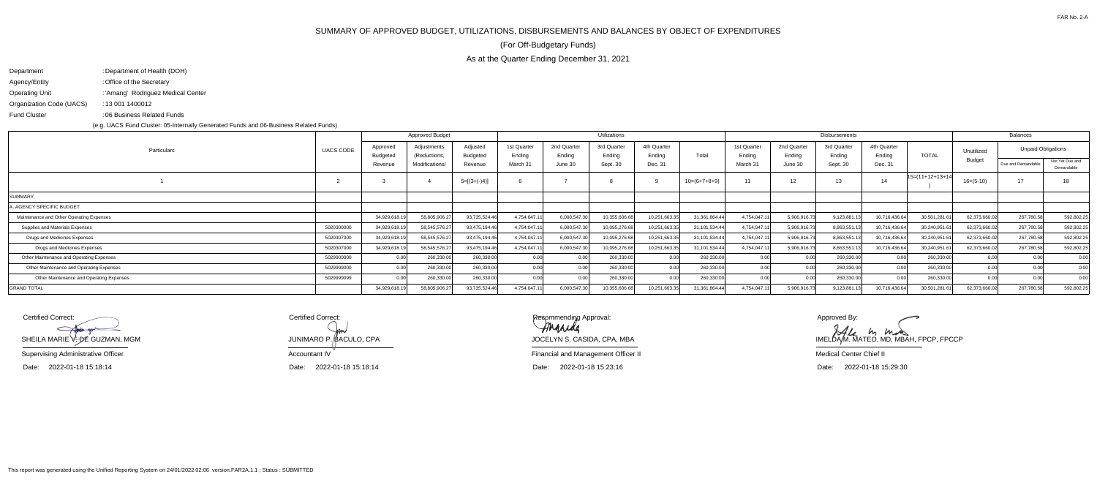## SUMMARY OF APPROVED BUDGET, UTILIZATIONS, DISBURSEMENTS AND BALANCES BY OBJECT OF EXPENDITURES

As at the Quarter Ending December 31, 2021

(For Off-Budgetary Funds)

| Department               | : Department of Health (DOH)       |
|--------------------------|------------------------------------|
| Agency/Entity            | : Office of the Secretary          |
| <b>Operating Unit</b>    | : 'Amang' Rodriguez Medical Center |
| Organization Code (UACS) | : 13 001 1400012                   |
| <b>Fund Cluster</b>      | :06 Business Related Funds         |

(e.g. UACS Fund Cluster: 05-Internally Generated Funds and 06-Business Related Funds)

Certified Correct: $\subset$ SHEILA MARIE V. DE GUZMAN, MGM

IMELDAM. MATEO, MD, MBAH, FPCP, FPCCP Approved By:

Certified Correct:Accountant IVJUNIMARO P. *(*BACULO, CPA

|                                                        |                      | <b>Approved Budget</b>      |                      |                       |                                  | Utilizations                      |                                  |                  |                       |                       | Disbursements         |                       |                    |               | <b>Balances</b>           |                               |
|--------------------------------------------------------|----------------------|-----------------------------|----------------------|-----------------------|----------------------------------|-----------------------------------|----------------------------------|------------------|-----------------------|-----------------------|-----------------------|-----------------------|--------------------|---------------|---------------------------|-------------------------------|
| <b>UACS CODE</b><br>Particulars                        | Approved<br>Budgeted | Adjustments<br>(Reductions, | Adjusted<br>Budgeted | 1st Quarter<br>Ending | 2nd Quarter<br>Ending<br>June 30 | 3rd Quarter<br>Ending<br>Sept. 30 | 4th Quarter<br>Ending<br>Dec. 31 | Total            | 1st Quarter<br>Ending | 2nd Quarter<br>Ending | 3rd Quarter<br>Ending | 4th Quarter<br>Endina | <b>TOTAL</b>       | Unutilized    | <b>Unpaid Obligations</b> |                               |
|                                                        | Revenue              | Modifications/              | Revenue              | March 31              |                                  |                                   |                                  |                  | March 31              | June 30               | Sept. 30              | Dec. 31               |                    | <b>Budget</b> | Due and Demandable        | Not Yet Due and<br>Demandable |
|                                                        |                      |                             | $5=[(3+(-)4)]$       |                       |                                  |                                   |                                  | $10=(6+7+8+9)$   | 11                    | 12                    | 13                    | 14                    | $15=(11+12+13+14)$ | $16=(5-10)$   | 17                        | 18                            |
| SUMMARY                                                |                      |                             |                      |                       |                                  |                                   |                                  |                  |                       |                       |                       |                       |                    |               |                           |                               |
| A. AGENCY SPECIFIC BUDGET                              |                      |                             |                      |                       |                                  |                                   |                                  |                  |                       |                       |                       |                       |                    |               |                           |                               |
| Maintenance and Other Operating Expenses               | 34,929,618.19        | 58,805,906.27               | 93,735,524.46        | 4,754,047.1           | 6,000,547.30                     | 10,355,606.6                      | 10,251,663.35                    | 31,361,864.44    | 4,754,047.1           | 5,906,916.73          | 9,123,881.1           | 10,716,436.64         | 30,501,281.6       | 62,373,660.02 | 267,780.58                | 592,802.25                    |
| 5020300000<br>Supplies and Materials Expenses          | 34,929,618.19        | 58,545,576.27               | 93,475,194.46        | 4,754,047.11          | 6,000,547.30                     | 10,095,276.68                     | 10,251,663.35                    | 31,101,534.44    | 4,754,047.11          | 5,906,916.73          | 8,863,551.1           | 10,716,436.64         | 30,240,951.6       | 62,373,660.02 | 267,780.58                | 592,802.25                    |
| 5020307000<br>Drugs and Medicines Expenses             | 34,929,618.19        | 58,545,576.27               | 93,475,194.46        | 4,754,047.11          | 6,000,547.30                     | 10,095,276.68                     | 10,251,663.35                    | 31,101,534.44    | 4,754,047.1           | 5,906,916.73          | 8,863,551.1           | 10,716,436.64         | 30,240,951.6       | 62,373,660.02 | 267,780.58                | 592,802.25                    |
| Drugs and Medicines Expenses<br>5020307000             | 34,929,618.19        | 58,545,576.27               | 93,475,194.46        | 4,754,047.11          | 6,000,547.30                     | 10,095,276.68                     | 10,251,663.35                    | 31, 101, 534. 44 | 4,754,047.11          | 5,906,916.73          | 8,863,551.1           | 10,716,436.64         | 30,240,951.6       | 62,373,660.02 | 267,780.58                | 592,802.25                    |
| Other Maintenance and Operating Expenses<br>5029900000 | 0.00 <sub>l</sub>    | 260,330.00                  | 260,330.00           | 0.00                  |                                  | 260,330.0                         | n nn                             | 260,330.00       | 0.00                  |                       | 260,330.00            | n oo                  | 260,330.0          |               |                           | 0.00                          |
| 5029999000<br>Other Maintenance and Operating Expenses | 0.00 <sub>l</sub>    | 260,330.00                  | 260,330.00           | 0.00                  |                                  | 260,330.0                         | 0.00                             | 260,330.00       | 0.00                  |                       | 260,330.00            | 0.00                  | 260,330.0          | 0.00          |                           | 0.00                          |
| Other Maintenance and Operating Expenses<br>5029999099 | n ool                | 260,330.00                  | 260,330.00           | 0.00                  |                                  | 260,330.00                        |                                  | 260,330.00       | n ool                 |                       | 260,330.00            | 0.00                  | 260,330.00         |               |                           | 0.00                          |
| <b>GRAND TOTAL</b>                                     | 34,929,618.19        | 58,805,906.27               | 93,735,524.46        | 4,754,047.11          | 6,000,547.30                     | 10,355,606.68                     | 10,251,663.35                    | 31,361,864.44    | 4,754,047.1           | 5,906,916.73          | 9,123,881.            | 10,716,436.64         | 30,501,281.6       | 62,373,660.02 | 267,780.58                | 592,802.25                    |

Date: 2022-01-18 15:18:14

Supervising Administrative Officer

Date: 2022-01-18 15:29:30

Medical Center Chief II

Financial and Management Officer II

Date: 2022-01-18 15:23:16

JOCELYN S. CASIDA, CPA, MBA

Date:2022-01-18 15:18:14

Recommending Approval:<br>**AMAALOL**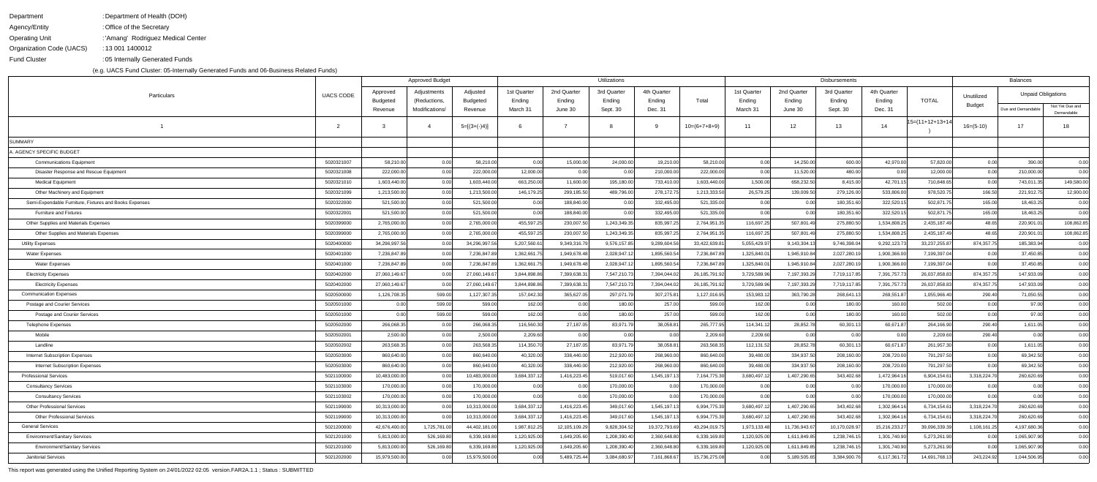DepartmentAgency/Entity Operating UnitOrganization Code (UACS)Fund Cluster: Department of Health (DOH) Office of the Secretary: 'Amang' Rodriguez Medical Center: : 13 001 1400012 05 Internally Generated Funds:

(e.g. UACS Fund Cluster: 05-Internally Generated Funds and 06-Business Related Funds)

|                                                        |                  | <b>Approved Budget</b> |                                |                     |                    |                   | Utilizations       |                   |                  |                    |                   | Balances           |                   |                 |               |                           |                 |
|--------------------------------------------------------|------------------|------------------------|--------------------------------|---------------------|--------------------|-------------------|--------------------|-------------------|------------------|--------------------|-------------------|--------------------|-------------------|-----------------|---------------|---------------------------|-----------------|
| Particulars                                            | <b>UACS CODE</b> | Approved               | Adjustments                    | Adjusted            | 1st Quarter        | 2nd Quarter       | 3rd Quarter        | 4th Quarter       |                  | 1st Quarter        | 2nd Quarter       | 3rd Quarter        | 4th Quarter       |                 | Unutilized    | <b>Unpaid Obligations</b> |                 |
|                                                        |                  | Budgeted<br>Revenue    | (Reductions,<br>Modifications/ | Budgeted<br>Revenue | Ending<br>March 31 | Ending<br>June 30 | Ending<br>Sept. 30 | Ending<br>Dec. 31 | Total            | Ending<br>March 31 | Ending<br>June 30 | Ending<br>Sept. 30 | Ending<br>Dec. 31 | <b>TOTAL</b>    | <b>Budget</b> | Due and Demandable        | Not Yet Due and |
|                                                        |                  |                        |                                |                     |                    |                   |                    |                   |                  |                    |                   |                    |                   |                 |               |                           | Demandable      |
|                                                        | ່າ               |                        |                                | $5=[(3+(-)4)]$      |                    |                   |                    | -9                | $10=(6+7+8+9)$   | 11                 | 12                | 13                 | 14                | 15=(11+12+13+14 | $16=(5-10)$   | 17                        | 18              |
| SUMMARY                                                |                  |                        |                                |                     |                    |                   |                    |                   |                  |                    |                   |                    |                   |                 |               |                           |                 |
| A. AGENCY SPECIFIC BUDGET                              |                  |                        |                                |                     |                    |                   |                    |                   |                  |                    |                   |                    |                   |                 |               |                           |                 |
| <b>Communications Equipment</b>                        | 5020321007       | 58,210.00              | 0.00                           | 58,210.00           | 0.00               | 15,000.00         | 24,000.00          | 19,210.00         | 58,210.00        | 0.00               | 14,250.00         | 600.00             | 42,970.00         | 57,820.00       | 0.00          | 390.00                    | 0.00            |
| Disaster Response and Rescue Equipment                 | 5020321008       | 222,000.00             | 0.00                           | 222,000.00          | 12,000.00          | 0.00              | 0.00               | 210,000.00        | 222,000.00       | 0.00               | 11,520.00         | 480.00             | 0.00              | 12,000.00       | 0.00          | 210,000.00                | 0.00            |
| <b>Medical Equipment</b>                               | 5020321010       | 1,603,440.00           | 0.00                           | 1,603,440.00        | 663,250.00         | 11,600.00         | 195,180.00         | 733,410.00        | 1,603,440.00     | 1,500.00           | 658,232.50        | 8,415.00           | 42,701.15         | 710,848.65      | 0.00          | 743,011.35                | 149,580.00      |
| Other Machinery and Equipment                          | 5020321099       | 1,213,500.00           | 0.00                           | 1,213,500.00        | 146,179.25         | 299,185.50        | 489,796.00         | 278,172.75        | 1,213,333.50     | 26,579.25          | 139,009.50        | 279,126.00         | 533,806.00        | 978,520.75      | 166.50        | 221,912.75                | 12,900.00       |
| Semi-Expendable Furniture, Fixtures and Books Expenses | 5020322000       | 521,500.00             | 0.00                           | 521,500.00          | 0.00               | 188,840.00        | 0.00               | 332,495.00        | 521,335.00       | 0.00               | 0.00              | 180,351.60         | 322,520.1         | 502,871.75      | 165.00        | 18,463.25                 | 0.00            |
| Furniture and Fixtures                                 | 5020322001       | 521,500.00             | 0.00                           | 521,500.00          | 0.00               | 188,840.00        | 0.00               | 332,495.00        | 521,335.00       | 0.00               | 0.00              | 180,351.60         | 322,520.1         | 502,871.75      | 165.00        | 18,463.25                 | 0.00            |
| Other Supplies and Materials Expenses                  | 5020399000       | 2,765,000.00           | 0.00                           | 2,765,000.00        | 455,597.25         | 230,007.50        | 1,243,349.35       | 835,997.25        | 2,764,951.35     | 116,697.25         | 507,801.49        | 275,880.50         | 1,534,808.2       | 2,435,187.49    | 48.65         | 220,901.0                 | 108,862.85      |
| Other Supplies and Materials Expenses                  | 5020399000       | 2,765,000.00           | 0.00                           | 2,765,000.00        | 455,597.25         | 230,007.50        | 1,243,349.35       | 835,997.25        | 2,764,951.35     | 116,697.25         | 507,801.49        | 275,880.50         | 1,534,808.2       | 2,435,187.49    | 48.65         | 220,901.0                 | 108,862.8       |
| <b>Utility Expenses</b>                                | 5020400000       | 34,296,997.56          | 0.00                           | 34,296,997.56       | 5,207,560.61       | 9,349,316.79      | 9,576,157.8        | 9,289,604.56      | 33,422,639.8     | 5,055,429.97       | 9,143,304.13      | 9,746,398.04       | 9,292,123.73      | 33,237,255.87   | 874,357.75    | 185,383.94                | 0.00            |
| <b>Water Expenses</b>                                  | 5020401000       | 7,236,847.89           | 0.00                           | 7,236,847.89        | 1,362,661.75       | 1,949,678.48      | 2,028,947.1        | 1,895,560.54      | 7,236,847.89     | 1,325,840.0        | 1,945,910.84      | 2,027,280.1        | 1,900,366.00      | 7,199,397.04    | 0.00          | 37,450.85                 | 0.00            |
| <b>Water Expenses</b>                                  | 5020401000       | 7,236,847.89           | 0.00                           | 7,236,847.89        | 1,362,661.75       | 1,949,678.48      | 2,028,947.1        | 1,895,560.54      | 7,236,847.89     | 1,325,840.0        | 1,945,910.84      | 2,027,280.19       | 1,900,366.00      | 7,199,397.04    | 0.00          | 37,450.85                 | 0.00            |
| Electricity Expenses                                   | 5020402000       | 27,060,149.67          | 0.00                           | 27,060,149.67       | 3,844,898.86       | 7,399,638.3       | 7,547,210.73       | 7,394,044.02      | 26, 185, 791. 92 | 3,729,589.96       | 7,197,393.29      | 7,719,117.85       | 7,391,757.73      | 26,037,858.83   | 874,357.75    | 147,933.09                | 0.00            |
| <b>Electricity Expenses</b>                            | 5020402000       | 27,060,149.67          | 0.00                           | 27,060,149.67       | 3,844,898.86       | 7,399,638.3       | 7,547,210.7        | 7,394,044.02      | 26,185,791.92    | 3,729,589.96       | 7,197,393.29      | 7,719,117.85       | 7,391,757.73      | 26,037,858.83   | 874,357.75    | 147,933.09                | 0.00            |
| <b>Communication Expenses</b>                          | 5020500000       | 1,126,708.35           | 599.00                         | 1,127,307.35        | 157,042.30         | 365,627.0         | 297,071.7          | 307,275.81        | 1,127,016.95     | 153,983.1          | 363,790.28        | 268,641.13         | 269,551.87        | 1,055,966.40    | 290.40        | 71,050.55                 | 0.00            |
| Postage and Courier Services                           | 5020501000       | 0.00                   | 599.00                         | 599.00              | 162.00             | 0.00              | 180.00             | 257.00            | 599.00           | 162.00             | 0.00              | 180.00             | 160.00            | 502.00          | 0.00          | 97.00                     | 0.00            |
| Postage and Courier Services                           | 5020501000       | 0.00                   | 599.00                         | 599.00              | 162.00             | 0.00              | 180.00             | 257.00            | 599.00           | 162.00             | 0.00              | 180.00             | 160.00            | 502.00          | 0.00          | 97.00                     | 0.00            |
| Telephone Expenses                                     | 5020502000       | 266,068.35             | 0.00                           | 266,068.35          | 116,560.30         | 27,187.05         | 83,971.79          | 38,058.81         | 265,777.95       | 114,341.12         | 28,852.78         | 60,301.13          | 60,671.87         | 264,166.90      | 290.40        | 1,611.05                  | 0.00            |
| Mobile                                                 | 5020502001       | 2,500.00               | 0.00                           | 2,500.00            | 2,209.60           | 0.00              | 0.00               | 0.00              | 2,209.60         | 2,209.60           | 0.00              | 0.00               | 0.00              | 2,209.60        | 290.40        | 0.00                      | 0.00            |
| Landline                                               | 5020502002       | 263,568.35             | 0.00                           | 263,568.35          | 114,350.70         | 27,187.05         | 83,971.79          | 38,058.81         | 263,568.35       | 112,131.52         | 28,852.78         | 60,301.13          | 60,671.87         | 261,957.30      | 0.00          | 1,611.05                  | 0.00            |
| Internet Subscription Expenses                         | 5020503000       | 860,640.00             | 0.00                           | 860,640.00          | 40,320.00          | 338,440.00        | 212,920.00         | 268,960.00        | 860,640.00       | 39,480.00          | 334,937.50        | 208,160.00         | 208,720.00        | 791,297.50      | 0.00          | 69,342.50                 | 0.00            |
| <b>Internet Subscription Expenses</b>                  | 5020503000       | 860,640.00             | 0.00                           | 860,640.00          | 40,320.00          | 338,440.00        | 212,920.00         | 268,960.00        | 860,640.00       | 39,480.00          | 334,937.50        | 208,160.00         | 208,720.00        | 791,297.50      | 0.00          | 69,342.50                 | 0.00            |
| <b>Professional Services</b>                           | 5021100000       | 10,483,000.00          | 0.00                           | 10,483,000.00       | 3,684,337.12       | 1,416,223.4       | 519,017.60         | 1,545,197.13      | 7,164,775.30     | 3,680,497.1        | 1,407,290.65      | 343,402.68         | 1,472,964.1       | 6,904,154.61    | 3,318,224.70  | 260,620.69                | 0.00            |
| <b>Consultancy Services</b>                            | 5021103000       | 170,000.00             | 0.00                           | 170,000.00          | 0.00               | 0.00              | 170,000.00         | 0.00              | 170,000.00       | 0.00               | 0.00              | 0.00               | 170,000.00        | 170,000.00      | 0.00          | 0.00                      | 0.00            |
| <b>Consultancy Services</b>                            | 5021103002       | 170,000.00             | 0.00                           | 170,000.00          | 0.00               | 0.00              | 170,000.00         | 0.00              | 170,000.00       | 0.00               | 0.00              | 0.00               | 170,000.00        | 170,000.00      | 0.00          | 0.00                      | 0.00            |
| Other Professional Services                            | 5021199000       | 10,313,000.00          | 0.00                           | 10,313,000.00       | 3,684,337.12       | 1,416,223.45      | 349,017.60         | 1,545,197.13      | 6,994,775.30     | 3,680,497.12       | 1,407,290.65      | 343,402.68         | 1,302,964.16      | 6,734,154.61    | 3,318,224.70  | 260,620.69                | 0.00            |
| <b>Other Professional Services</b>                     | 5021199000       | 10,313,000.00          | 0.00                           | 10,313,000.00       | 3,684,337.12       | 1,416,223.45      | 349,017.60         | 1,545,197.13      | 6,994,775.30     | 3,680,497.12       | 1,407,290.65      | 343,402.68         | 1,302,964.1       | 6,734,154.61    | 3,318,224.70  | 260,620.69                | 0.00            |
| <b>General Services</b>                                | 5021200000       | 42,676,400.00          | 1,725,781.00                   | 44,402,181.00       | 1,987,812.25       | 12,105,109.29     | 9,828,304.52       | 19,372,793.69     | 43,294,019.75    | 1,973,133.48       | 11,736,943.67     | 10,170,028.97      | 15,216,233.27     | 39,096,339.39   | 1,108,161.25  | 4,197,680.36              | 0.00            |
| <b>Environment/Sanitary Services</b>                   | 5021201000       | 5,813,000.00           | 526,169.80                     | 6,339,169.80        | 1,120,925.00       | 1,649,205.60      | 1,208,390.40       | 2,360,648.80      | 6,339,169.80     | 1,120,925.00       | 1,611,849.85      | 1,238,746.15       | 1,301,740.90      | 5,273,261.90    | 0.00          | 1,065,907.90              | 0.00            |
| <b>Environment/Sanitary Services</b>                   | 5021201000       | 5,813,000.00           | 526,169.80                     | 6,339,169.80        | 1,120,925.00       | 1,649,205.60      | 1,208,390.40       | 2,360,648.80      | 6,339,169.80     | 1,120,925.00       | 1,611,849.85      | 1,238,746.15       | 1,301,740.90      | 5,273,261.90    | 0.00          | 1,065,907.90              | 0.00            |
| <b>Janitorial Services</b>                             | 5021202000       | 15,979,500.00          | 0.00                           | 15,979,500.00       | 0.00               | 5,489,725.44      | 3,084,680.9        | 7,161,868.67      | 15,736,275.08    | 0.00               | 5,189,505.65      | 3,384,900.76       | 6,117,361.72      | 14,691,768.13   | 243,224.92    | 1,044,506.95              | 0.00            |

This report was generated using the Unified Reporting System on 24/01/2022 02:05 version.FAR2A.1.1 ; Status : SUBMITTED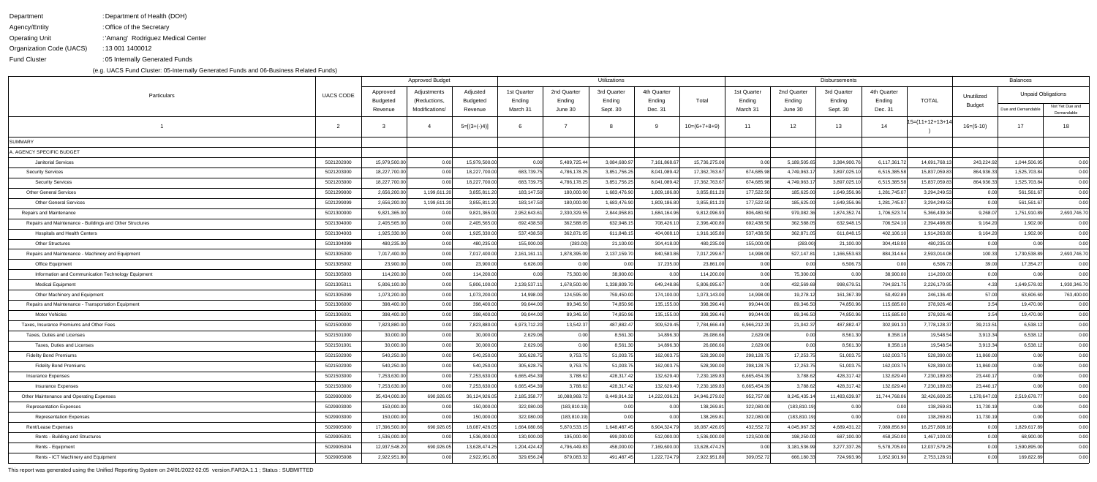DepartmentAgency/Entity Operating UnitOrganization Code (UACS)Fund Cluster: Department of Health (DOH) Office of the Secretary: 'Amang' Rodriguez Medical Center: : 13 001 1400012 05 Internally Generated Funds:

(e.g. UACS Fund Cluster: 05-Internally Generated Funds and 06-Business Related Funds)

|                                                          |                  |                     | <b>Approved Budget</b>         |                     |                    |                   | Utilizations       |                   |                | <b>Disbursements</b> | Balances          |                    |                   |                 |               |                           |                 |
|----------------------------------------------------------|------------------|---------------------|--------------------------------|---------------------|--------------------|-------------------|--------------------|-------------------|----------------|----------------------|-------------------|--------------------|-------------------|-----------------|---------------|---------------------------|-----------------|
| Particulars                                              | <b>UACS CODE</b> | Approved            | Adjustments                    | Adjusted            | 1st Quarter        | 2nd Quarter       | 3rd Quarter        | 4th Quarter       |                | 1st Quarter          | 2nd Quarter       | 3rd Quarter        | 4th Quarter       |                 | Unutilized    | <b>Unpaid Obligations</b> |                 |
|                                                          |                  | Budgeted<br>Revenue | (Reductions,<br>Modifications/ | Budgeted<br>Revenue | Ending<br>March 31 | Ending<br>June 30 | Ending<br>Sept. 30 | Ending<br>Dec. 31 | Total          | Ending<br>March 31   | Ending<br>June 30 | Ending<br>Sept. 30 | Ending<br>Dec. 31 | <b>TOTAL</b>    | <b>Budget</b> | Due and Demandable        | Not Yet Due and |
|                                                          |                  |                     |                                |                     |                    |                   |                    |                   |                |                      |                   |                    |                   |                 |               |                           | Demandable      |
|                                                          |                  |                     |                                | $5=[(3+(-)4)]$      |                    |                   |                    |                   | $10=(6+7+8+9)$ | 11                   | 12 <sup>12</sup>  | 13                 | 14                | 15=(11+12+13+14 | $16= (5-10)$  | 17 <sup>2</sup>           | 18              |
| SUMMARY                                                  |                  |                     |                                |                     |                    |                   |                    |                   |                |                      |                   |                    |                   |                 |               |                           |                 |
| . AGENCY SPECIFIC BUDGET                                 |                  |                     |                                |                     |                    |                   |                    |                   |                |                      |                   |                    |                   |                 |               |                           |                 |
| <b>Janitorial Services</b>                               | 5021202000       | 15,979,500.00       | 0.00                           | 15,979,500.00       | 0.00               | 5,489,725.44      | 3,084,680.9        | 7,161,868.6       | 15,736,275.08  | 0.00                 | 5,189,505.65      | 3,384,900.76       | 6,117,361.72      | 14,691,768.1    | 243,224.92    | 1,044,506.95              | 0.00            |
| <b>Security Services</b>                                 | 5021203000       | 18,227,700.00       | 0.00                           | 18,227,700.00       | 683,739.75         | 4,786,178.25      | 3,851,756.25       | 8,041,089.42      | 17,362,763.67  | 674,685.98           | 4,749,963.17      | 3,897,025.10       | 6,515,385.58      | 15,837,059.83   | 864,936.33    | 1,525,703.84              | 0.00            |
| <b>Security Services</b>                                 | 5021203000       | 18,227,700.00       | 0.00                           | 18,227,700.00       | 683,739.75         | 4,786,178.25      | 3,851,756.25       | 8,041,089.42      | 17,362,763.67  | 674,685.98           | 4,749,963.17      | 3,897,025.10       | 6,515,385.58      | 15,837,059.83   | 864,936.33    | 1,525,703.84              | 0.00            |
| <b>Other General Services</b>                            | 5021299000       | 2,656,200.00        | 1,199,611.20                   | 3,855,811.20        | 183,147.50         | 180,000.00        | 1,683,476.90       | 1,809,186.80      | 3,855,811.20   | 177,522.50           | 185,625.00        | 1,649,356.96       | 1,281,745.07      | 3,294,249.53    | 0.00          | 561,561.67                | 0.00            |
| <b>Other General Services</b>                            | 5021299099       | 2,656,200.00        | 1,199,611.20                   | 3,855,811.20        | 183,147.50         | 180,000.00        | 1,683,476.90       | 1,809,186.80      | 3,855,811.20   | 177,522.50           | 185,625.00        | 1,649,356.96       | 1,281,745.07      | 3,294,249.53    | 0.00          | 561,561.67                | 0.00            |
| Repairs and Maintenance                                  | 5021300000       | 9,821,365.00        | 0.00                           | 9,821,365.00        | 2,952,643.6        | 2,330,329.5       | 2,844,958.8        | 1,684,164.96      | 9,812,096.93   | 806,480.50           | 979,082.36        | 1,874,352.7        | 1,706,523.74      | 5,366,439.34    | 9,268.07      | 1,751,910.89              | 2,693,746.70    |
| Repairs and Maintenance - Buildings and Other Structures | 5021304000       | 2,405,565.00        | 0.00                           | 2,405,565.00        | 692,438.50         | 362,588.05        | 632,948.1          | 708,426.10        | 2,396,400.80   | 692,438.50           | 362,588.05        | 632,948.15         | 706,524.10        | 2,394,498.80    | 9,164.20      | 1,902.00                  | 0.00            |
| <b>Hospitals and Health Centers</b>                      | 5021304003       | 1,925,330.00        | 0.00                           | 1,925,330.00        | 537,438.50         | 362,871.05        | 611,848.15         | 404,008.10        | 1,916,165.80   | 537,438.50           | 362,871.05        | 611,848.15         | 402,106.10        | 1,914,263.80    | 9,164.20      | 1,902.00                  | 0.00            |
| <b>Other Structures</b>                                  | 5021304099       | 480,235.00          | 0.00                           | 480,235.00          | 155,000.00         | (283.00)          | 21,100.00          | 304,418.00        | 480,235.00     | 155,000.00           | (283.00)          | 21,100.00          | 304,418.00        | 480,235.00      | 0.00          | 0.00                      | 0.00            |
| Repairs and Maintenance - Machinery and Equipment        | 5021305000       | 7,017,400.00        | 0.00                           | 7,017,400.00        | 2,161,161.1        | 1,878,395.00      | 2,137,159.70       | 840,583.86        | 7,017,299.67   | 14,998.00            | 527,147.81        | 1,166,553.63       | 884,314.64        | 2,593,014.08    | 100.33        | 1,730,538.89              | 2,693,746.70    |
| <b>Office Equipment</b>                                  | 5021305002       | 23,900.00           | 0.00                           | 23,900.00           | 6,626.00           | 0.00              | 0.00               | 17,235.00         | 23,861.00      | 0.00                 | 0.00              | 6,506.73           | 0.00              | 6,506.73        | 39.00         | 17,354.27                 | 0.00            |
| Information and Communication Technology Equipment       | 5021305003       | 114,200.00          | 0.00                           | 114,200.00          | 0.00               | 75,300.00         | 38,900.00          | 0.00              | 114,200.00     | 0.00                 | 75,300.00         | 0.00               | 38,900.00         | 114,200.00      | 0.00          | 0.00                      | 0.00            |
| <b>Medical Equipment</b>                                 | 5021305011       | 5,806,100.00        | 0.00                           | 5,806,100.00        | 2,139,537.11       | 1,678,500.00      | 1,338,809.70       | 649,248.86        | 5,806,095.67   | 0.00                 | 432,569.69        | 998,679.51         | 794,921.75        | 2,226,170.95    | 4.331         | 1,649,578.02              | 1,930,346.70    |
| Other Machinery and Equipment                            | 5021305099       | 1,073,200.00        | 0.00                           | 1,073,200.00        | 14,998.00          | 124,595.00        | 759,450.00         | 174,100.00        | 1,073,143.00   | 14,998.00            | 19,278.12         | 161,367.39         | 50,492.89         | 246,136.40      | 57.00         | 63,606.60                 | 763,400.00      |
| Repairs and Maintenance - Transportation Equipment       | 5021306000       | 398,400.00          | 0.00                           | 398,400.00          | 99,044.00          | 89,346.50         | 74,850.96          | 135,155.00        | 398,396.46     | 99,044.00            | 89,346.50         | 74,850.96          | 115,685.00        | 378,926.46      | 3.54          | 19,470.00                 | 0.00            |
| <b>Motor Vehicles</b>                                    | 5021306001       | 398,400.00          | 0.00                           | 398,400.00          | 99,044.00          | 89,346.50         | 74,850.96          | 135,155.00        | 398,396.46     | 99,044.00            | 89,346.50         | 74,850.96          | 115,685.00        | 378,926.46      | 3.54          | 19,470.00                 | 0.00            |
| Taxes, Insurance Premiums and Other Fees                 | 5021500000       | 7,823,880.00        | 0.00                           | 7,823,880.00        | 6,973,712.20       | 13,542.37         | 487,882.47         | 309,529.45        | 7,784,666.49   | 6,966,212.20         | 21,042.37         | 487,882.47         | 302,991.33        | 7,778,128.37    | 39,213.51     | 6,538.12                  | 0.00            |
| Taxes, Duties and Licenses                               | 5021501000       | 30,000.00           | 0.00                           | 30,000.00           | 2,629.06           | 0.00              | 8,561.30           | 14,896.30         | 26,086.66      | 2,629.06             | 0.00              | 8,561.30           | 8,358.18          | 19,548.54       | 3,913.34      | 6,538.12                  | 0.00            |
| Taxes, Duties and Licenses                               | 5021501001       | 30,000.00           | 0.00                           | 30,000.00           | 2,629.06           | 0.00              | 8,561.30           | 14,896.30         | 26,086.66      | 2,629.06             | 0.00              | 8,561.30           | 8,358.18          | 19,548.54       | 3,913.34      | 6,538.12                  | 0.00            |
| <b>Fidelity Bond Premiums</b>                            | 5021502000       | 540,250.00          | 0.00                           | 540,250.00          | 305,628.75         | 9,753.75          | 51,003.75          | 162,003.75        | 528,390.00     | 298,128.75           | 17,253.75         | 51,003.75          | 162,003.75        | 528,390.00      | 11,860.00     | 0.00                      | 0.00            |
| <b>Fidelity Bond Premiums</b>                            | 5021502000       | 540,250.00          | 0.00                           | 540,250.00          | 305,628.75         | 9,753.75          | 51,003.75          | 162,003.75        | 528,390.00     | 298,128.75           | 17,253.75         | 51,003.75          | 162,003.75        | 528,390.00      | 11,860.00     | 0.00                      | 0.00            |
| <b>Insurance Expenses</b>                                | 5021503000       | 7,253,630.00        | 0.00                           | 7,253,630.00        | 6,665,454.39       | 3,788.62          | 428,317.42         | 132,629.40        | 7,230,189.83   | 6,665,454.39         | 3,788.62          | 428,317.42         | 132,629.40        | 7,230,189.83    | 23,440.17     | 0.00                      | 0.00            |
| <b>Insurance Expenses</b>                                | 5021503000       | 7,253,630.00        | 0.00                           | 7,253,630.00        | 6,665,454.39       | 3,788.62          | 428,317.42         | 132,629.40        | 7,230,189.83   | 6,665,454.39         | 3,788.62          | 428,317.42         | 132,629.40        | 7,230,189.83    | 23,440.17     | 0.00                      | 0.00            |
| Other Maintenance and Operating Expenses                 | 5029900000       | 35,434,000.00       | 690,926.05                     | 36,124,926.05       | 2,185,358.77       | 10,088,969.72     | 8,449,914.32       | 14,222,036.21     | 34,946,279.02  | 952,757.08           | 8,245,435.14      | 11,483,639.97      | 11,744,768.06     | 32,426,600.25   | 1,178,647.03  | 2,519,678.77              | 0.00            |
| <b>Representation Expenses</b>                           | 5029903000       | 150,000.00          | 0.00                           | 150,000.00          | 322,080.00         | (183, 810.19)     | 0.00               | 0.00              | 138,269.81     | 322,080.00           | (183, 810.19)     | 0.00               | 0.00              | 138,269.81      | 11,730.19     | 0.00                      | 0.00            |
| <b>Representation Expenses</b>                           | 5029903000       | 150,000.00          | 0.00                           | 150,000.00          | 322,080.00         | (183, 810.19)     | 0.00               | 0.00              | 138,269.81     | 322,080.00           | (183, 810.19)     | 0.00               | 0.00              | 138,269.81      | 11,730.19     | 0.00                      | 0.00            |
| Rent/Lease Expenses                                      | 5029905000       | 17,396,500.00       | 690,926.05                     | 18,087,426.05       | 1,664,080.66       | 5,870,533.15      | 1,648,487.45       | 8,904,324.79      | 18,087,426.05  | 432,552.72           | 4,045,967.32      | 4,689,431.22       | 7,089,856.90      | 16,257,808.16   | 0.00          | 1,829,617.89              | 0.00            |
| Rents - Building and Structures                          | 5029905001       | 1,536,000.00        | 0.00                           | 1,536,000.00        | 130,000.00         | 195,000.00        | 699,000.00         | 512,000.00        | 1,536,000.00   | 123,500.00           | 198,250.00        | 687,100.00         | 458,250.00        | 1,467,100.00    | 0.00          | 68,900.00                 | 0.00            |
| Rents - Equipment                                        | 5029905004       | 12,937,548.20       | 690,926.05                     | 13,628,474.25       | 1,204,424.42       | 4,796,449.83      | 458,000.00         | 7,169,600.00      | 13,628,474.25  | 0.00                 | 3,181,536.99      | 3,277,337.26       | 5,578,705.00      | 12,037,579.25   | 0.00          | 1,590,895.00              | 0.00            |
| Rents - ICT Machinery and Equipment                      | 5029905008       | 2,922,951.80        | 0.00                           | 2,922,951.80        | 329,656.24         | 879,083.32        | 491,487.45         | 1,222,724.79      | 2,922,951.80   | 309,052.72           | 666,180.33        | 724,993.96         | 1,052,901.90      | 2,753,128.91    | 0.00          | 169,822.89                | 0.00            |

This report was generated using the Unified Reporting System on 24/01/2022 02:05 version.FAR2A.1.1 ; Status : SUBMITTED